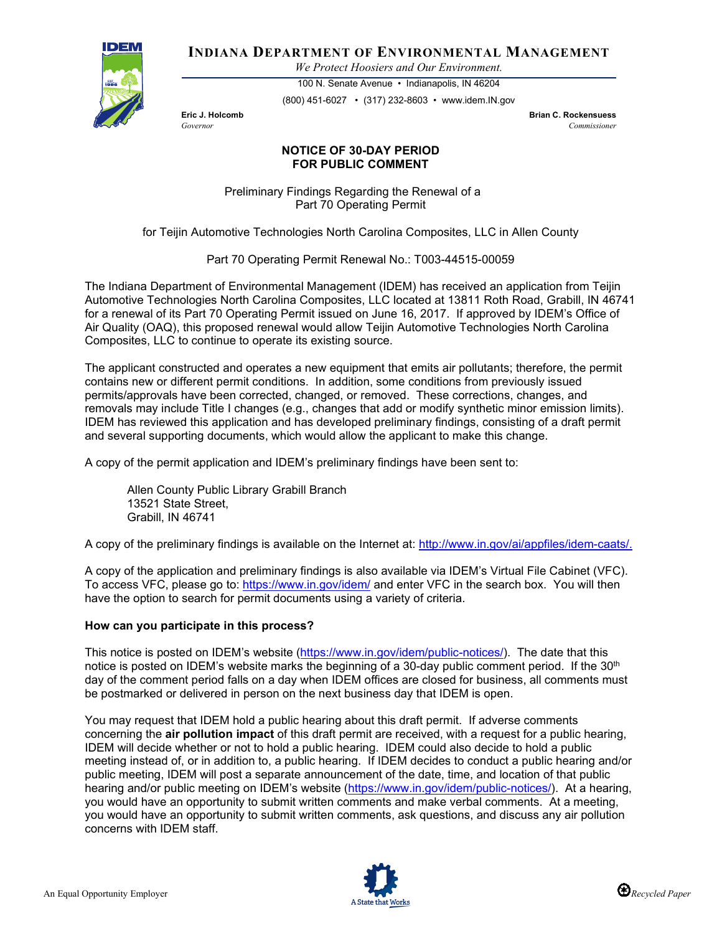

**INDIANA DEPARTMENT OF ENVIRONMENTAL MANAGEMENT**

*We Protect Hoosiers and Our Environment.*

100 N. Senate Avenue • Indianapolis, IN 46204 (800) 451-6027 • (317) 232-8603 • www.idem.IN.gov

**Eric J. Holcomb Brian C. Rockensuess** *Governor Commissioner* 

## **NOTICE OF 30-DAY PERIOD FOR PUBLIC COMMENT**

Preliminary Findings Regarding the Renewal of a Part 70 Operating Permit

for Teijin Automotive Technologies North Carolina Composites, LLC in Allen County

Part 70 Operating Permit Renewal No.: T003-44515-00059

The Indiana Department of Environmental Management (IDEM) has received an application from Teijin Automotive Technologies North Carolina Composites, LLC located at 13811 Roth Road, Grabill, IN 46741 for a renewal of its Part 70 Operating Permit issued on June 16, 2017. If approved by IDEM's Office of Air Quality (OAQ), this proposed renewal would allow Teijin Automotive Technologies North Carolina Composites, LLC to continue to operate its existing source.

The applicant constructed and operates a new equipment that emits air pollutants; therefore, the permit contains new or different permit conditions. In addition, some conditions from previously issued permits/approvals have been corrected, changed, or removed. These corrections, changes, and removals may include Title I changes (e.g., changes that add or modify synthetic minor emission limits). IDEM has reviewed this application and has developed preliminary findings, consisting of a draft permit and several supporting documents, which would allow the applicant to make this change.

A copy of the permit application and IDEM's preliminary findings have been sent to:

Allen County Public Library Grabill Branch 13521 State Street, Grabill, IN 46741

A copy of the preliminary findings is available on the Internet at: [http://www.in.gov/ai/appfiles/idem-caats/.](http://www.in.gov/ai/appfiles/idem-caats/)

A copy of the application and preliminary findings is also available via IDEM's Virtual File Cabinet (VFC). To access VFC, please go to:<https://www.in.gov/idem/> and enter VFC in the search box. You will then have the option to search for permit documents using a variety of criteria.

## **How can you participate in this process?**

This notice is posted on IDEM's website [\(https://www.in.gov/idem/public-notices/\)](https://www.in.gov/idem/public-notices/). The date that this notice is posted on IDEM's website marks the beginning of a 30-day public comment period. If the  $30<sup>th</sup>$ day of the comment period falls on a day when IDEM offices are closed for business, all comments must be postmarked or delivered in person on the next business day that IDEM is open.

You may request that IDEM hold a public hearing about this draft permit. If adverse comments concerning the **air pollution impact** of this draft permit are received, with a request for a public hearing, IDEM will decide whether or not to hold a public hearing. IDEM could also decide to hold a public meeting instead of, or in addition to, a public hearing. If IDEM decides to conduct a public hearing and/or public meeting, IDEM will post a separate announcement of the date, time, and location of that public hearing and/or public meeting on IDEM's website [\(https://www.in.gov/idem/public-notices/\)](https://www.in.gov/idem/public-notices/). At a hearing, you would have an opportunity to submit written comments and make verbal comments. At a meeting, you would have an opportunity to submit written comments, ask questions, and discuss any air pollution concerns with IDEM staff.